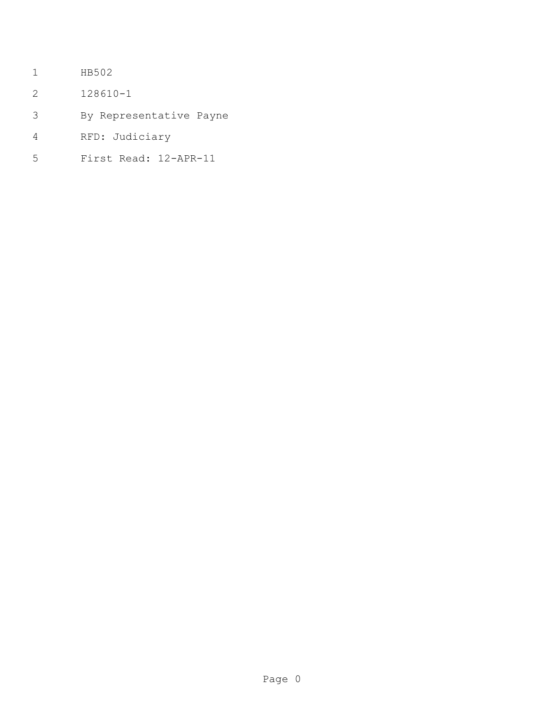- HB502
- 128610-1
- By Representative Payne
- RFD: Judiciary
- First Read: 12-APR-11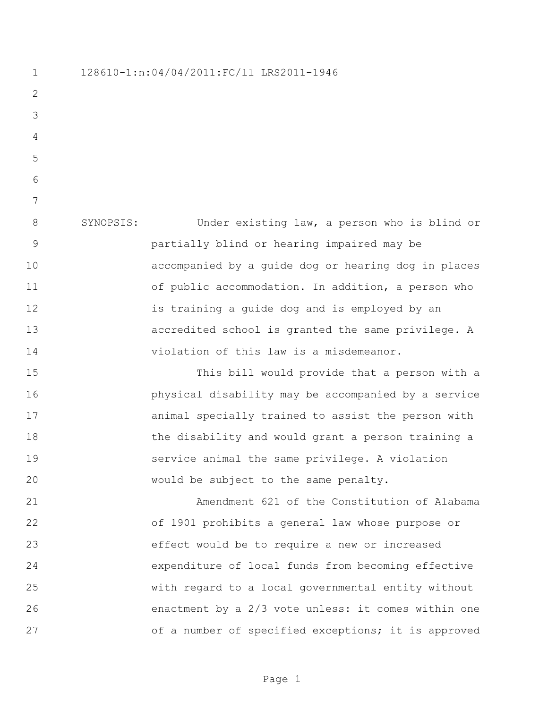128610-1:n:04/04/2011:FC/ll LRS2011-1946

 SYNOPSIS: Under existing law, a person who is blind or partially blind or hearing impaired may be accompanied by a guide dog or hearing dog in places 11 of public accommodation. In addition, a person who is training a guide dog and is employed by an accredited school is granted the same privilege. A violation of this law is a misdemeanor.

 This bill would provide that a person with a physical disability may be accompanied by a service animal specially trained to assist the person with 18 the disability and would grant a person training a service animal the same privilege. A violation would be subject to the same penalty.

 Amendment 621 of the Constitution of Alabama of 1901 prohibits a general law whose purpose or effect would be to require a new or increased expenditure of local funds from becoming effective with regard to a local governmental entity without enactment by a 2/3 vote unless: it comes within one 27 of a number of specified exceptions; it is approved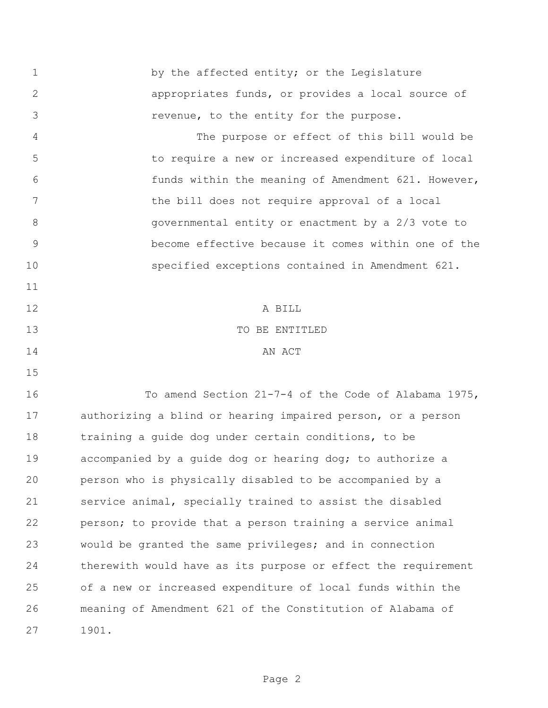1 by the affected entity; or the Legislature appropriates funds, or provides a local source of revenue, to the entity for the purpose. The purpose or effect of this bill would be to require a new or increased expenditure of local funds within the meaning of Amendment 621. However, 7 the bill does not require approval of a local governmental entity or enactment by a 2/3 vote to become effective because it comes within one of the specified exceptions contained in Amendment 621. A BILL 13 TO BE ENTITLED 14 AN ACT To amend Section 21-7-4 of the Code of Alabama 1975, authorizing a blind or hearing impaired person, or a person training a guide dog under certain conditions, to be accompanied by a guide dog or hearing dog; to authorize a person who is physically disabled to be accompanied by a service animal, specially trained to assist the disabled person; to provide that a person training a service animal would be granted the same privileges; and in connection therewith would have as its purpose or effect the requirement of a new or increased expenditure of local funds within the meaning of Amendment 621 of the Constitution of Alabama of 1901.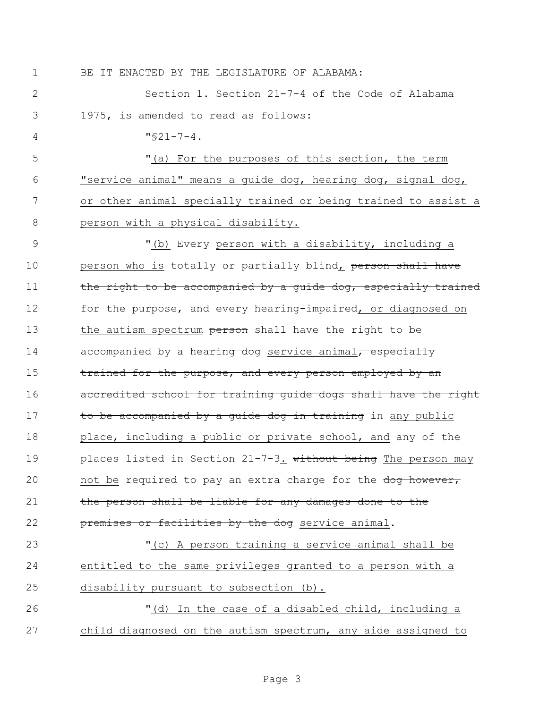1 BE IT ENACTED BY THE LEGISLATURE OF ALABAMA:

2 Section 1. Section 21-7-4 of the Code of Alabama 3 1975, is amended to read as follows:

 $4 \frac{\text{vs}}{21-7-4}$ .

 "(a) For the purposes of this section, the term "service animal" means a guide dog, hearing dog, signal dog, or other animal specially trained or being trained to assist a person with a physical disability.

9 "(b) Every person with a disability, including a 10 person who is totally or partially blind, person shall have 11 the right to be accompanied by a quide dog, especially trained 12 for the purpose, and every hearing-impaired, or diagnosed on 13 the autism spectrum person shall have the right to be 14 accompanied by a hearing dog service animal, especially 15 trained for the purpose, and every person employed by an 16 accredited school for training quide dogs shall have the right 17 to be accompanied by a quide dog in training in any public 18 place, including a public or private school, and any of the 19 places listed in Section 21-7-3. without being The person may 20 not be required to pay an extra charge for the dog however, 21 the person shall be liable for any damages done to the 22 **premises or facilities by the dog** service animal.

23 "(c) A person training a service animal shall be 24 entitled to the same privileges granted to a person with a 25 disability pursuant to subsection (b).

26 "(d) In the case of a disabled child, including a 27 child diagnosed on the autism spectrum, any aide assigned to